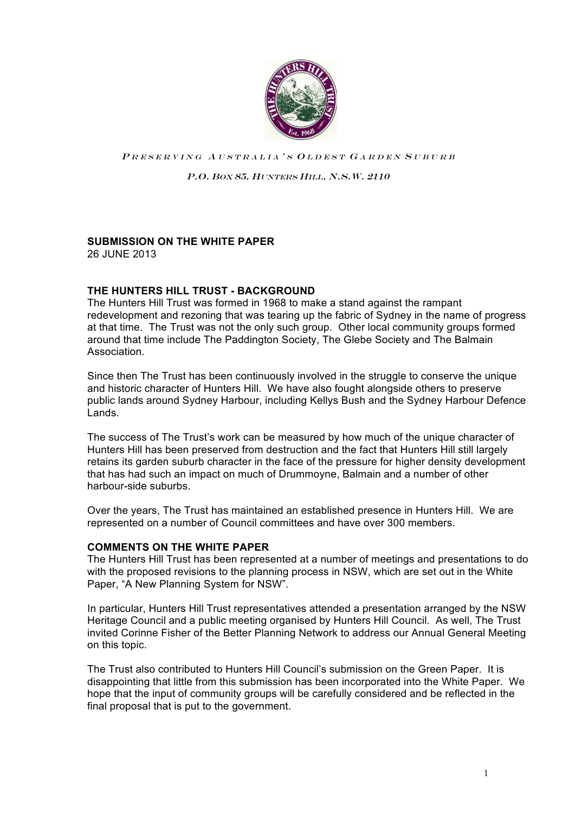

PRESERVING AUSTRALIA'S OLDEST GARDEN SUBURB

P.O. BOX 85, HUNTERS HILL, N.S.W. 2110

# **SUBMISSION ON THE WHITE PAPER**

26 JUNE 2013

# **THE HUNTERS HILL TRUST - BACKGROUND**

The Hunters Hill Trust was formed in 1968 to make a stand against the rampant redevelopment and rezoning that was tearing up the fabric of Sydney in the name of progress at that time. The Trust was not the only such group. Other local community groups formed around that time include The Paddington Society, The Glebe Society and The Balmain Association.

Since then The Trust has been continuously involved in the struggle to conserve the unique and historic character of Hunters Hill. We have also fought alongside others to preserve public lands around Sydney Harbour, including Kellys Bush and the Sydney Harbour Defence Lands.

The success of The Trust's work can be measured by how much of the unique character of Hunters Hill has been preserved from destruction and the fact that Hunters Hill still largely retains its garden suburb character in the face of the pressure for higher density development that has had such an impact on much of Drummoyne, Balmain and a number of other harbour-side suburbs.

Over the years, The Trust has maintained an established presence in Hunters Hill. We are represented on a number of Council committees and have over 300 members.

## **COMMENTS ON THE WHITE PAPER**

The Hunters Hill Trust has been represented at a number of meetings and presentations to do with the proposed revisions to the planning process in NSW, which are set out in the White Paper, "A New Planning System for NSW".

In particular, Hunters Hill Trust representatives attended a presentation arranged by the NSW Heritage Council and a public meeting organised by Hunters Hill Council. As well, The Trust invited Corinne Fisher of the Better Planning Network to address our Annual General Meeting on this topic.

The Trust also contributed to Hunters Hill Council's submission on the Green Paper. It is disappointing that little from this submission has been incorporated into the White Paper. We hope that the input of community groups will be carefully considered and be reflected in the final proposal that is put to the government.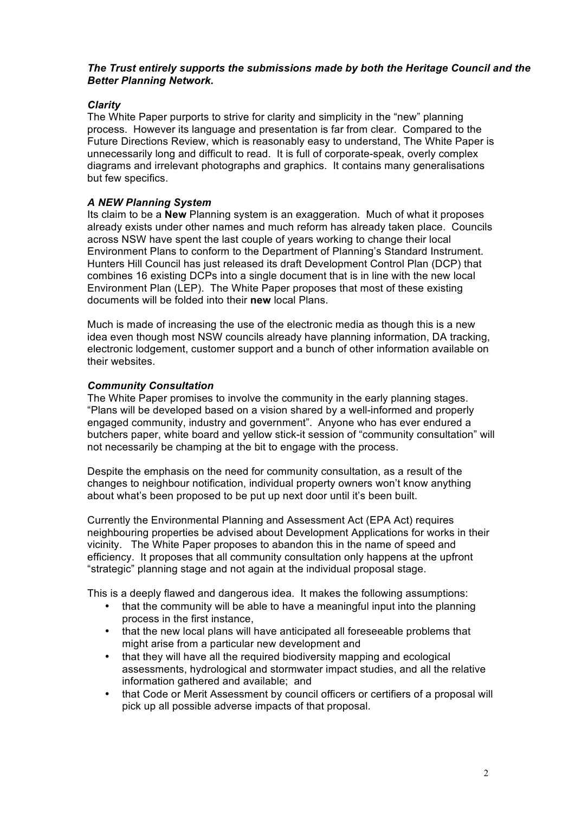## *The Trust entirely supports the submissions made by both the Heritage Council and the Better Planning Network.*

## *Clarity*

The White Paper purports to strive for clarity and simplicity in the "new" planning process. However its language and presentation is far from clear. Compared to the Future Directions Review, which is reasonably easy to understand, The White Paper is unnecessarily long and difficult to read. It is full of corporate-speak, overly complex diagrams and irrelevant photographs and graphics. It contains many generalisations but few specifics.

## *A NEW Planning System*

Its claim to be a **New** Planning system is an exaggeration. Much of what it proposes already exists under other names and much reform has already taken place. Councils across NSW have spent the last couple of years working to change their local Environment Plans to conform to the Department of Planning's Standard Instrument. Hunters Hill Council has just released its draft Development Control Plan (DCP) that combines 16 existing DCPs into a single document that is in line with the new local Environment Plan (LEP). The White Paper proposes that most of these existing documents will be folded into their **new** local Plans.

Much is made of increasing the use of the electronic media as though this is a new idea even though most NSW councils already have planning information, DA tracking, electronic lodgement, customer support and a bunch of other information available on their websites.

## *Community Consultation*

The White Paper promises to involve the community in the early planning stages. "Plans will be developed based on a vision shared by a well-informed and properly engaged community, industry and government". Anyone who has ever endured a butchers paper, white board and yellow stick-it session of "community consultation" will not necessarily be champing at the bit to engage with the process.

Despite the emphasis on the need for community consultation, as a result of the changes to neighbour notification, individual property owners won't know anything about what's been proposed to be put up next door until it's been built.

Currently the Environmental Planning and Assessment Act (EPA Act) requires neighbouring properties be advised about Development Applications for works in their vicinity. The White Paper proposes to abandon this in the name of speed and efficiency. It proposes that all community consultation only happens at the upfront "strategic" planning stage and not again at the individual proposal stage.

This is a deeply flawed and dangerous idea. It makes the following assumptions:

- that the community will be able to have a meaningful input into the planning process in the first instance,
- that the new local plans will have anticipated all foreseeable problems that might arise from a particular new development and
- that they will have all the required biodiversity mapping and ecological assessments, hydrological and stormwater impact studies, and all the relative information gathered and available; and
- that Code or Merit Assessment by council officers or certifiers of a proposal will pick up all possible adverse impacts of that proposal.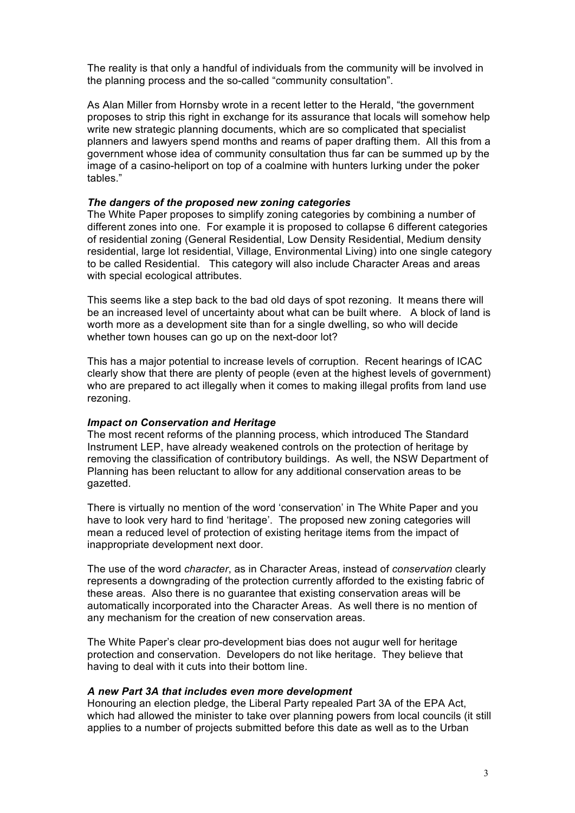The reality is that only a handful of individuals from the community will be involved in the planning process and the so-called "community consultation".

As Alan Miller from Hornsby wrote in a recent letter to the Herald, "the government proposes to strip this right in exchange for its assurance that locals will somehow help write new strategic planning documents, which are so complicated that specialist planners and lawyers spend months and reams of paper drafting them. All this from a government whose idea of community consultation thus far can be summed up by the image of a casino-heliport on top of a coalmine with hunters lurking under the poker tables."

#### *The dangers of the proposed new zoning categories*

The White Paper proposes to simplify zoning categories by combining a number of different zones into one. For example it is proposed to collapse 6 different categories of residential zoning (General Residential, Low Density Residential, Medium density residential, large lot residential, Village, Environmental Living) into one single category to be called Residential. This category will also include Character Areas and areas with special ecological attributes.

This seems like a step back to the bad old days of spot rezoning. It means there will be an increased level of uncertainty about what can be built where. A block of land is worth more as a development site than for a single dwelling, so who will decide whether town houses can go up on the next-door lot?

This has a major potential to increase levels of corruption. Recent hearings of ICAC clearly show that there are plenty of people (even at the highest levels of government) who are prepared to act illegally when it comes to making illegal profits from land use rezoning.

## *Impact on Conservation and Heritage*

The most recent reforms of the planning process, which introduced The Standard Instrument LEP, have already weakened controls on the protection of heritage by removing the classification of contributory buildings. As well, the NSW Department of Planning has been reluctant to allow for any additional conservation areas to be gazetted.

There is virtually no mention of the word 'conservation' in The White Paper and you have to look very hard to find 'heritage'. The proposed new zoning categories will mean a reduced level of protection of existing heritage items from the impact of inappropriate development next door.

The use of the word *character*, as in Character Areas, instead of *conservation* clearly represents a downgrading of the protection currently afforded to the existing fabric of these areas. Also there is no guarantee that existing conservation areas will be automatically incorporated into the Character Areas. As well there is no mention of any mechanism for the creation of new conservation areas.

The White Paper's clear pro-development bias does not augur well for heritage protection and conservation. Developers do not like heritage. They believe that having to deal with it cuts into their bottom line.

## *A new Part 3A that includes even more development*

Honouring an election pledge, the Liberal Party repealed Part 3A of the EPA Act, which had allowed the minister to take over planning powers from local councils (it still applies to a number of projects submitted before this date as well as to the Urban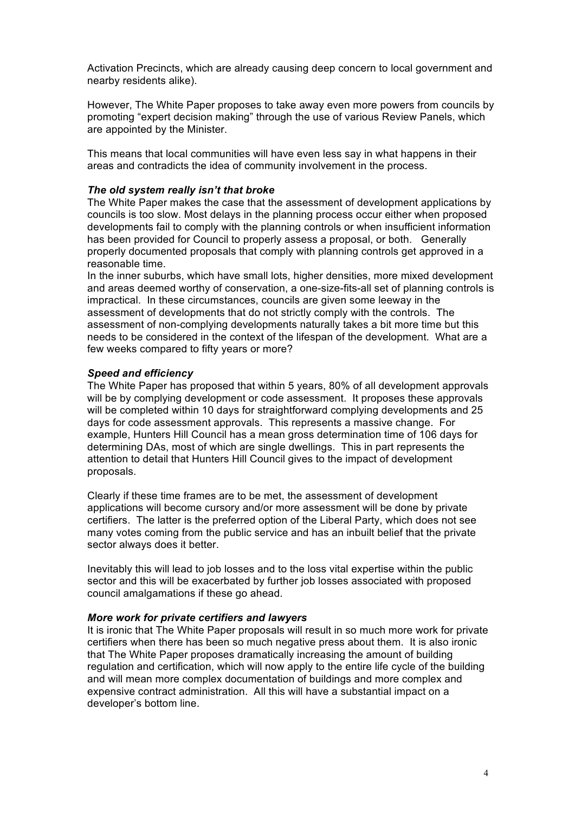Activation Precincts, which are already causing deep concern to local government and nearby residents alike).

However, The White Paper proposes to take away even more powers from councils by promoting "expert decision making" through the use of various Review Panels, which are appointed by the Minister.

This means that local communities will have even less say in what happens in their areas and contradicts the idea of community involvement in the process.

#### *The old system really isn't that broke*

The White Paper makes the case that the assessment of development applications by councils is too slow. Most delays in the planning process occur either when proposed developments fail to comply with the planning controls or when insufficient information has been provided for Council to properly assess a proposal, or both. Generally properly documented proposals that comply with planning controls get approved in a reasonable time.

In the inner suburbs, which have small lots, higher densities, more mixed development and areas deemed worthy of conservation, a one-size-fits-all set of planning controls is impractical. In these circumstances, councils are given some leeway in the assessment of developments that do not strictly comply with the controls. The assessment of non-complying developments naturally takes a bit more time but this needs to be considered in the context of the lifespan of the development. What are a few weeks compared to fifty years or more?

#### *Speed and efficiency*

The White Paper has proposed that within 5 years, 80% of all development approvals will be by complying development or code assessment. It proposes these approvals will be completed within 10 days for straightforward complying developments and 25 days for code assessment approvals. This represents a massive change. For example, Hunters Hill Council has a mean gross determination time of 106 days for determining DAs, most of which are single dwellings. This in part represents the attention to detail that Hunters Hill Council gives to the impact of development proposals.

Clearly if these time frames are to be met, the assessment of development applications will become cursory and/or more assessment will be done by private certifiers. The latter is the preferred option of the Liberal Party, which does not see many votes coming from the public service and has an inbuilt belief that the private sector always does it better.

Inevitably this will lead to job losses and to the loss vital expertise within the public sector and this will be exacerbated by further job losses associated with proposed council amalgamations if these go ahead.

#### *More work for private certifiers and lawyers*

It is ironic that The White Paper proposals will result in so much more work for private certifiers when there has been so much negative press about them. It is also ironic that The White Paper proposes dramatically increasing the amount of building regulation and certification, which will now apply to the entire life cycle of the building and will mean more complex documentation of buildings and more complex and expensive contract administration. All this will have a substantial impact on a developer's bottom line.